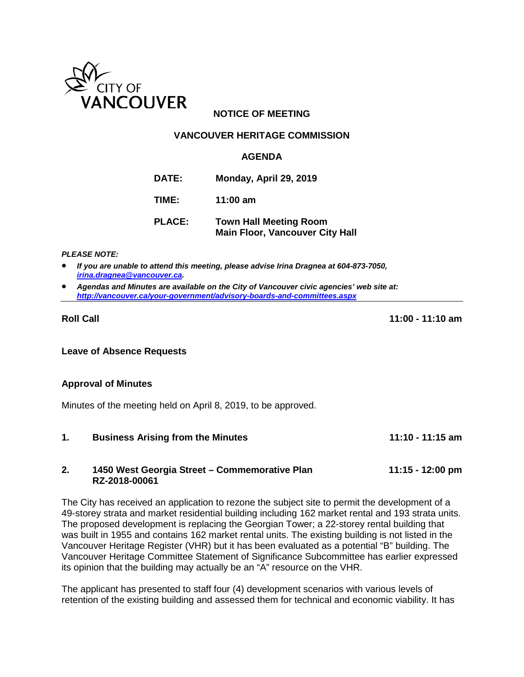

# **NOTICE OF MEETING**

### **VANCOUVER HERITAGE COMMISSION**

#### **AGENDA**

- **DATE: Monday, April 29, 2019**
- **TIME: 11:00 am**
- **PLACE: Town Hall Meeting Room Main Floor, Vancouver City Hall**

*PLEASE NOTE:*

- *If you are unable to attend this meeting, please advise Irina Dragnea at 604-873-7050, [irina.dragnea@vancouver.ca.](mailto:irina.dragnea@vancouver.ca)*
- *Agendas and Minutes are available on the City of Vancouver civic agencies' web site at: <http://vancouver.ca/your-government/advisory-boards-and-committees.aspx>*

**Roll Call 11:00 - 11:10 am**

**Leave of Absence Requests**

#### **Approval of Minutes**

Minutes of the meeting held on April 8, 2019, to be approved.

**1. Business Arising from the Minutes 11:10 - 11:15 am**

#### **2. 1450 West Georgia Street – Commemorative Plan 11:15 - 12:00 pm RZ-2018-00061**

The City has received an application to rezone the subject site to permit the development of a 49-storey strata and market residential building including 162 market rental and 193 strata units. The proposed development is replacing the Georgian Tower; a 22-storey rental building that was built in 1955 and contains 162 market rental units. The existing building is not listed in the Vancouver Heritage Register (VHR) but it has been evaluated as a potential "B" building. The Vancouver Heritage Committee Statement of Significance Subcommittee has earlier expressed its opinion that the building may actually be an "A" resource on the VHR.

The applicant has presented to staff four (4) development scenarios with various levels of retention of the existing building and assessed them for technical and economic viability. It has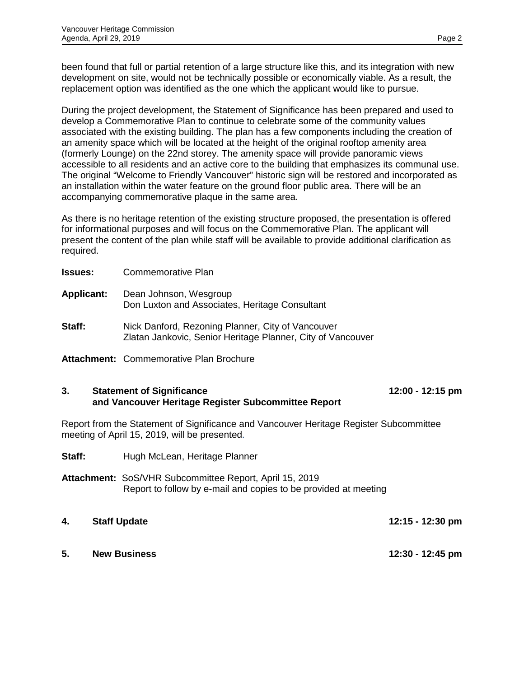been found that full or partial retention of a large structure like this, and its integration with new development on site, would not be technically possible or economically viable. As a result, the replacement option was identified as the one which the applicant would like to pursue.

During the project development, the Statement of Significance has been prepared and used to develop a Commemorative Plan to continue to celebrate some of the community values associated with the existing building. The plan has a few components including the creation of an amenity space which will be located at the height of the original rooftop amenity area (formerly Lounge) on the 22nd storey. The amenity space will provide panoramic views accessible to all residents and an active core to the building that emphasizes its communal use. The original "Welcome to Friendly Vancouver" historic sign will be restored and incorporated as an installation within the water feature on the ground floor public area. There will be an accompanying commemorative plaque in the same area.

As there is no heritage retention of the existing structure proposed, the presentation is offered for informational purposes and will focus on the Commemorative Plan. The applicant will present the content of the plan while staff will be available to provide additional clarification as required.

| Issues:    | Commemorative Plan                                                                                               |
|------------|------------------------------------------------------------------------------------------------------------------|
| Applicant: | Dean Johnson, Wesgroup<br>Don Luxton and Associates, Heritage Consultant                                         |
| Staff:     | Nick Danford, Rezoning Planner, City of Vancouver<br>Zlatan Jankovic, Senior Heritage Planner, City of Vancouver |
|            |                                                                                                                  |

**Attachment:** Commemorative Plan Brochure

# **3. Statement of Significance 12:00 - 12:15 pm and Vancouver Heritage Register Subcommittee Report**

Report from the Statement of Significance and Vancouver Heritage Register Subcommittee meeting of April 15, 2019, will be presented.

- **Staff:** Hugh McLean, Heritage Planner
- **Attachment:** SoS/VHR Subcommittee Report, April 15, 2019 Report to follow by e-mail and copies to be provided at meeting
- **4. Staff Update 12:15 12:30 pm 5. New Business 12:30 - 12:45 pm**